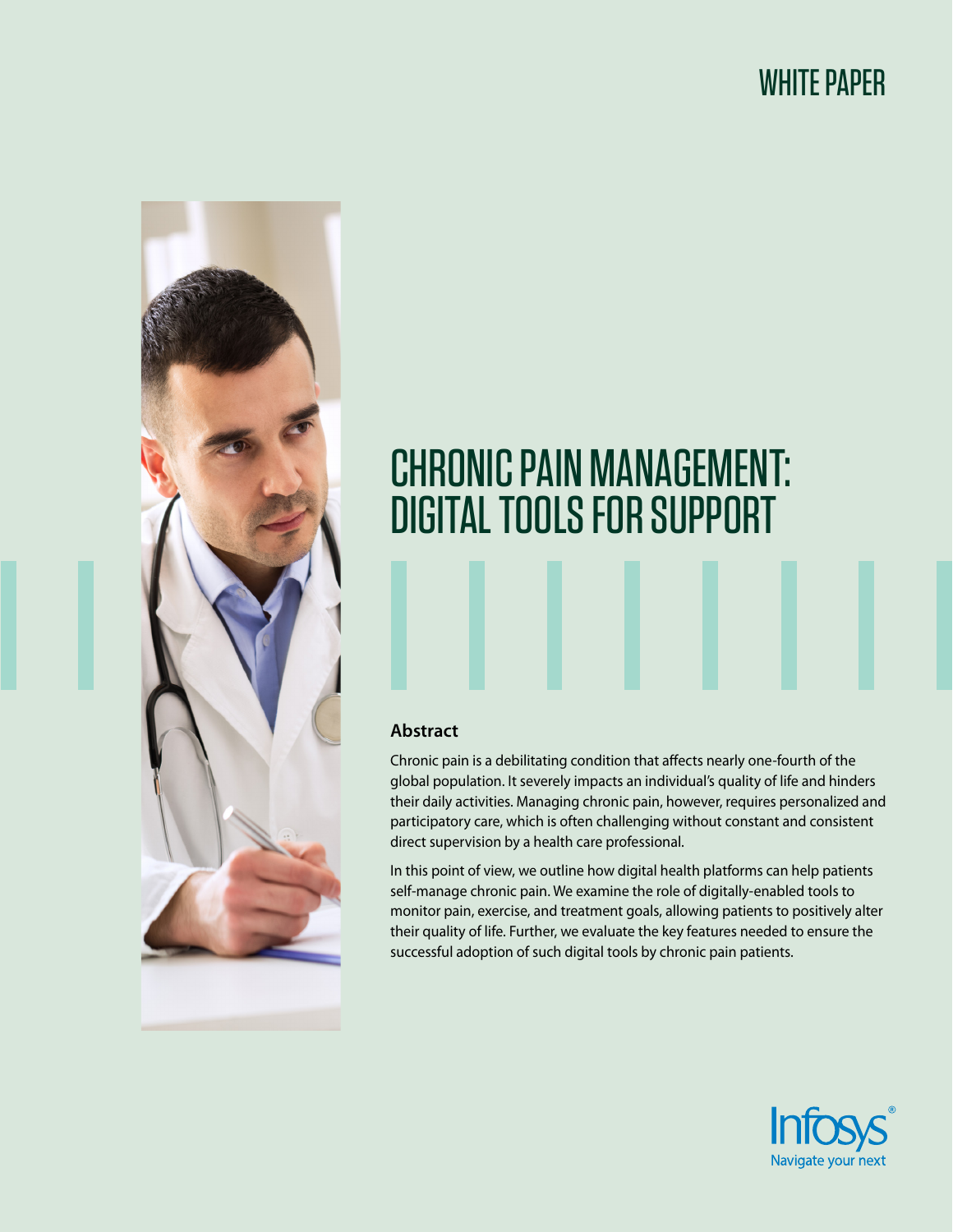# WHITE PAPER



# CHRONIC PAIN MANAGEMENT: DIGITAL TOOLS FOR SUPPORT

#### **Abstract**

Chronic pain is a debilitating condition that affects nearly one-fourth of the global population. It severely impacts an individual's quality of life and hinders their daily activities. Managing chronic pain, however, requires personalized and participatory care, which is often challenging without constant and consistent direct supervision by a health care professional.

In this point of view, we outline how digital health platforms can help patients self-manage chronic pain. We examine the role of digitally-enabled tools to monitor pain, exercise, and treatment goals, allowing patients to positively alter their quality of life. Further, we evaluate the key features needed to ensure the successful adoption of such digital tools by chronic pain patients.

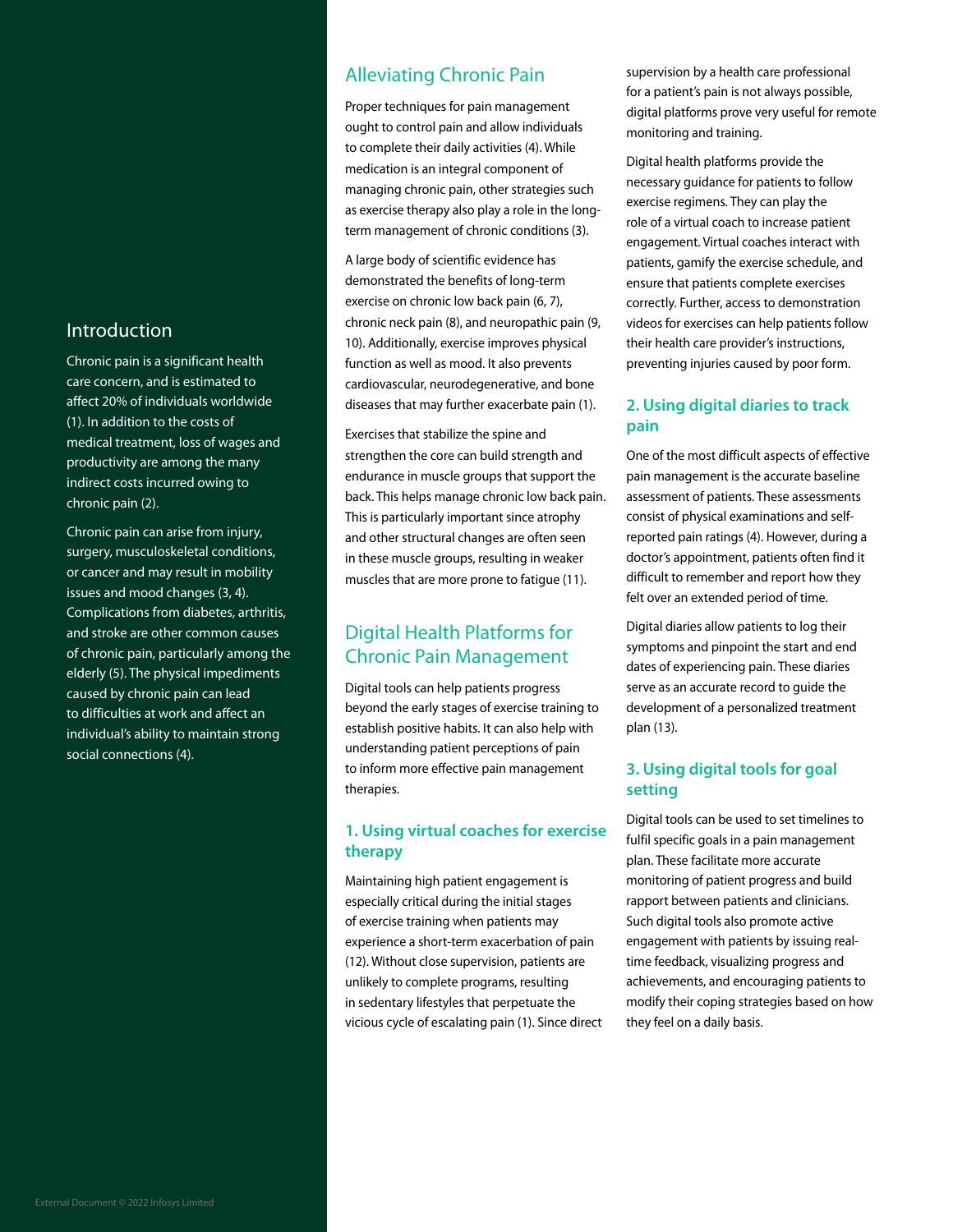### Introduction

Chronic pain is a significant health care concern, and is estimated to affect 20% of individuals worldwide (1). In addition to the costs of medical treatment, loss of wages and productivity are among the many indirect costs incurred owing to chronic pain (2).

Chronic pain can arise from injury, surgery, musculoskeletal conditions, or cancer and may result in mobility issues and mood changes (3, 4). Complications from diabetes, arthritis, and stroke are other common causes of chronic pain, particularly among the elderly (5). The physical impediments caused by chronic pain can lead to difficulties at work and affect an individual's ability to maintain strong social connections (4).

# Alleviating Chronic Pain

Proper techniques for pain management ought to control pain and allow individuals to complete their daily activities (4). While medication is an integral component of managing chronic pain, other strategies such as exercise therapy also play a role in the longterm management of chronic conditions (3).

A large body of scientific evidence has demonstrated the benefits of long-term exercise on chronic low back pain (6, 7), chronic neck pain (8), and neuropathic pain (9, 10). Additionally, exercise improves physical function as well as mood. It also prevents cardiovascular, neurodegenerative, and bone diseases that may further exacerbate pain (1).

Exercises that stabilize the spine and strengthen the core can build strength and endurance in muscle groups that support the back. This helps manage chronic low back pain. This is particularly important since atrophy and other structural changes are often seen in these muscle groups, resulting in weaker muscles that are more prone to fatigue (11).

# Digital Health Platforms for Chronic Pain Management

Digital tools can help patients progress beyond the early stages of exercise training to establish positive habits. It can also help with understanding patient perceptions of pain to inform more effective pain management therapies.

#### **1. Using virtual coaches for exercise therapy**

Maintaining high patient engagement is especially critical during the initial stages of exercise training when patients may experience a short-term exacerbation of pain (12). Without close supervision, patients are unlikely to complete programs, resulting in sedentary lifestyles that perpetuate the vicious cycle of escalating pain (1). Since direct supervision by a health care professional for a patient's pain is not always possible, digital platforms prove very useful for remote monitoring and training.

Digital health platforms provide the necessary guidance for patients to follow exercise regimens. They can play the role of a virtual coach to increase patient engagement. Virtual coaches interact with patients, gamify the exercise schedule, and ensure that patients complete exercises correctly. Further, access to demonstration videos for exercises can help patients follow their health care provider's instructions, preventing injuries caused by poor form.

#### **2. Using digital diaries to track pain**

One of the most difficult aspects of effective pain management is the accurate baseline assessment of patients. These assessments consist of physical examinations and selfreported pain ratings (4). However, during a doctor's appointment, patients often find it difficult to remember and report how they felt over an extended period of time.

Digital diaries allow patients to log their symptoms and pinpoint the start and end dates of experiencing pain. These diaries serve as an accurate record to guide the development of a personalized treatment plan (13).

#### **3. Using digital tools for goal setting**

Digital tools can be used to set timelines to fulfil specific goals in a pain management plan. These facilitate more accurate monitoring of patient progress and build rapport between patients and clinicians. Such digital tools also promote active engagement with patients by issuing realtime feedback, visualizing progress and achievements, and encouraging patients to modify their coping strategies based on how they feel on a daily basis.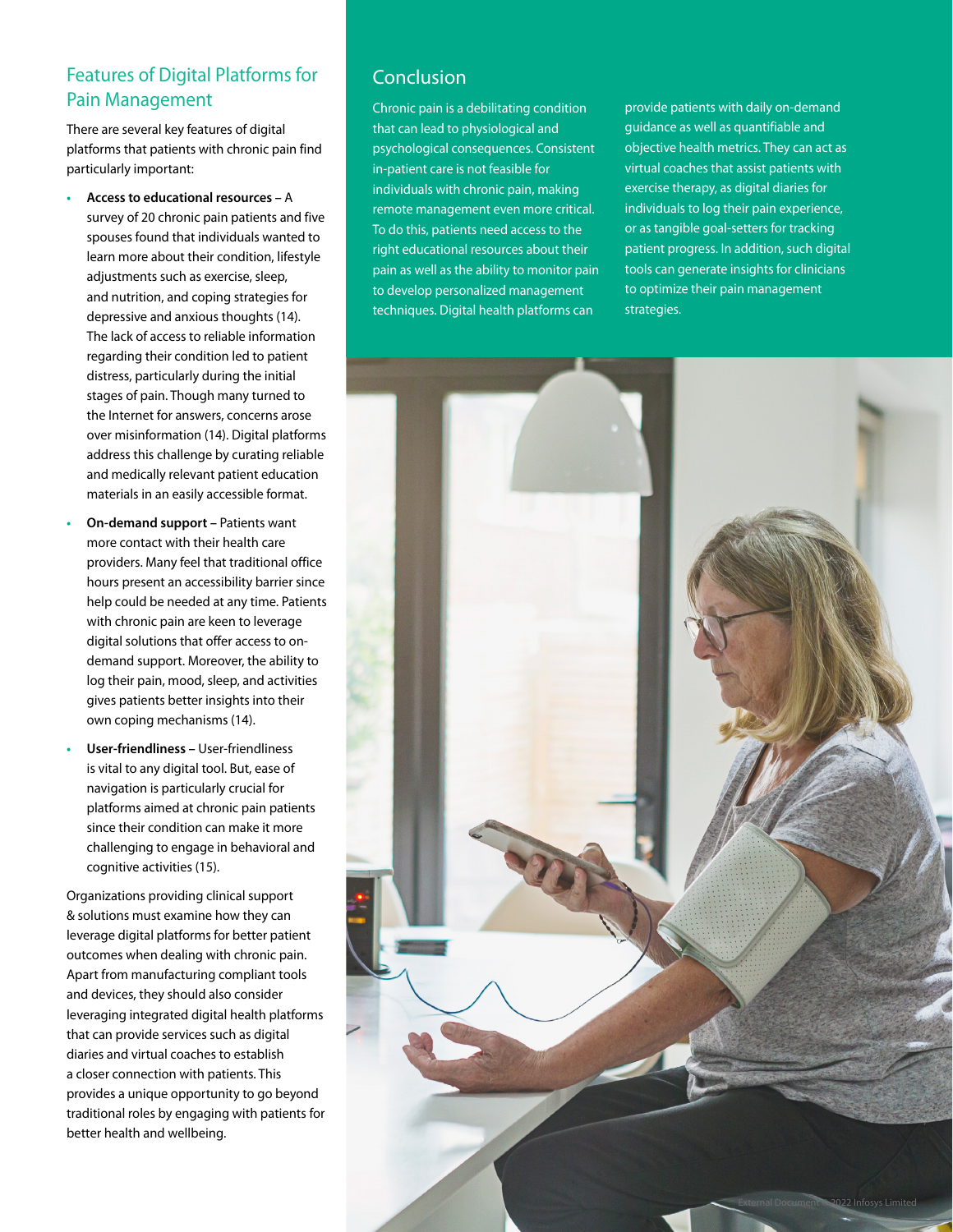# Features of Digital Platforms for Pain Management

There are several key features of digital platforms that patients with chronic pain find particularly important:

- **• Access to educational resources** A survey of 20 chronic pain patients and five spouses found that individuals wanted to learn more about their condition, lifestyle adjustments such as exercise, sleep, and nutrition, and coping strategies for depressive and anxious thoughts (14). The lack of access to reliable information regarding their condition led to patient distress, particularly during the initial stages of pain. Though many turned to the Internet for answers, concerns arose over misinformation (14). Digital platforms address this challenge by curating reliable and medically relevant patient education materials in an easily accessible format.
- **• On-demand support –** Patients want more contact with their health care providers. Many feel that traditional office hours present an accessibility barrier since help could be needed at any time. Patients with chronic pain are keen to leverage digital solutions that offer access to ondemand support. Moreover, the ability to log their pain, mood, sleep, and activities gives patients better insights into their own coping mechanisms (14).
- **• User-friendliness –** User-friendliness is vital to any digital tool. But, ease of navigation is particularly crucial for platforms aimed at chronic pain patients since their condition can make it more challenging to engage in behavioral and cognitive activities (15).

Organizations providing clinical support & solutions must examine how they can leverage digital platforms for better patient outcomes when dealing with chronic pain. Apart from manufacturing compliant tools and devices, they should also consider leveraging integrated digital health platforms that can provide services such as digital diaries and virtual coaches to establish a closer connection with patients. This provides a unique opportunity to go beyond traditional roles by engaging with patients for better health and wellbeing.

## Conclusion

Chronic pain is a debilitating condition that can lead to physiological and psychological consequences. Consistent in-patient care is not feasible for individuals with chronic pain, making remote management even more critical. To do this, patients need access to the right educational resources about their pain as well as the ability to monitor pain to develop personalized management techniques. Digital health platforms can

provide patients with daily on-demand guidance as well as quantifiable and objective health metrics. They can act as virtual coaches that assist patients with exercise therapy, as digital diaries for individuals to log their pain experience, or as tangible goal-setters for tracking patient progress. In addition, such digital tools can generate insights for clinicians to optimize their pain management strategies.